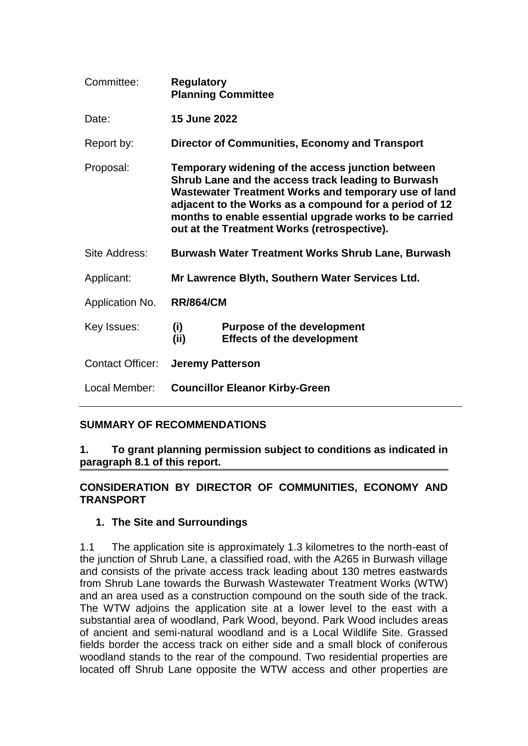| Committee:              | <b>Regulatory</b><br><b>Planning Committee</b>                                                                                                                                                                                                                                                                                     |                                                                        |
|-------------------------|------------------------------------------------------------------------------------------------------------------------------------------------------------------------------------------------------------------------------------------------------------------------------------------------------------------------------------|------------------------------------------------------------------------|
| Date:                   | 15 June 2022                                                                                                                                                                                                                                                                                                                       |                                                                        |
| Report by:              |                                                                                                                                                                                                                                                                                                                                    | <b>Director of Communities, Economy and Transport</b>                  |
| Proposal:               | Temporary widening of the access junction between<br>Shrub Lane and the access track leading to Burwash<br>Wastewater Treatment Works and temporary use of land<br>adjacent to the Works as a compound for a period of 12<br>months to enable essential upgrade works to be carried<br>out at the Treatment Works (retrospective). |                                                                        |
| Site Address:           | Burwash Water Treatment Works Shrub Lane, Burwash                                                                                                                                                                                                                                                                                  |                                                                        |
| Applicant:              | Mr Lawrence Blyth, Southern Water Services Ltd.                                                                                                                                                                                                                                                                                    |                                                                        |
| Application No.         | <b>RR/864/CM</b>                                                                                                                                                                                                                                                                                                                   |                                                                        |
| Key Issues:             | (i)<br>(ii)                                                                                                                                                                                                                                                                                                                        | <b>Purpose of the development</b><br><b>Effects of the development</b> |
| <b>Contact Officer:</b> | <b>Jeremy Patterson</b>                                                                                                                                                                                                                                                                                                            |                                                                        |
| Local Member:           | <b>Councillor Eleanor Kirby-Green</b>                                                                                                                                                                                                                                                                                              |                                                                        |

# **SUMMARY OF RECOMMENDATIONS**

**1. To grant planning permission subject to conditions as indicated in paragraph 8.1 of this report.**

### **CONSIDERATION BY DIRECTOR OF COMMUNITIES, ECONOMY AND TRANSPORT**

#### **1. The Site and Surroundings**

1.1 The application site is approximately 1.3 kilometres to the north-east of the junction of Shrub Lane, a classified road, with the A265 in Burwash village and consists of the private access track leading about 130 metres eastwards from Shrub Lane towards the Burwash Wastewater Treatment Works (WTW) and an area used as a construction compound on the south side of the track. The WTW adjoins the application site at a lower level to the east with a substantial area of woodland, Park Wood, beyond. Park Wood includes areas of ancient and semi-natural woodland and is a Local Wildlife Site. Grassed fields border the access track on either side and a small block of coniferous woodland stands to the rear of the compound. Two residential properties are located off Shrub Lane opposite the WTW access and other properties are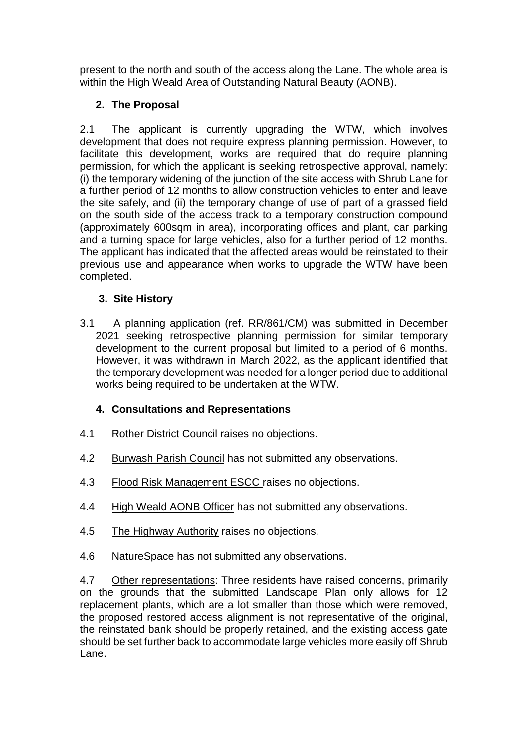present to the north and south of the access along the Lane. The whole area is within the High Weald Area of Outstanding Natural Beauty (AONB).

# **2. The Proposal**

2.1 The applicant is currently upgrading the WTW, which involves development that does not require express planning permission. However, to facilitate this development, works are required that do require planning permission, for which the applicant is seeking retrospective approval, namely: (i) the temporary widening of the junction of the site access with Shrub Lane for a further period of 12 months to allow construction vehicles to enter and leave the site safely, and (ii) the temporary change of use of part of a grassed field on the south side of the access track to a temporary construction compound (approximately 600sqm in area), incorporating offices and plant, car parking and a turning space for large vehicles, also for a further period of 12 months. The applicant has indicated that the affected areas would be reinstated to their previous use and appearance when works to upgrade the WTW have been completed.

# **3. Site History**

3.1 A planning application (ref. RR/861/CM) was submitted in December 2021 seeking retrospective planning permission for similar temporary development to the current proposal but limited to a period of 6 months. However, it was withdrawn in March 2022, as the applicant identified that the temporary development was needed for a longer period due to additional works being required to be undertaken at the WTW.

# **4. Consultations and Representations**

- 4.1 Rother District Council raises no objections.
- 4.2 Burwash Parish Council has not submitted any observations.
- 4.3 Flood Risk Management ESCC raises no objections.
- 4.4 High Weald AONB Officer has not submitted any observations.
- 4.5 The Highway Authority raises no objections.
- 4.6 NatureSpace has not submitted any observations.

4.7 Other representations: Three residents have raised concerns, primarily on the grounds that the submitted Landscape Plan only allows for 12 replacement plants, which are a lot smaller than those which were removed, the proposed restored access alignment is not representative of the original, the reinstated bank should be properly retained, and the existing access gate should be set further back to accommodate large vehicles more easily off Shrub Lane.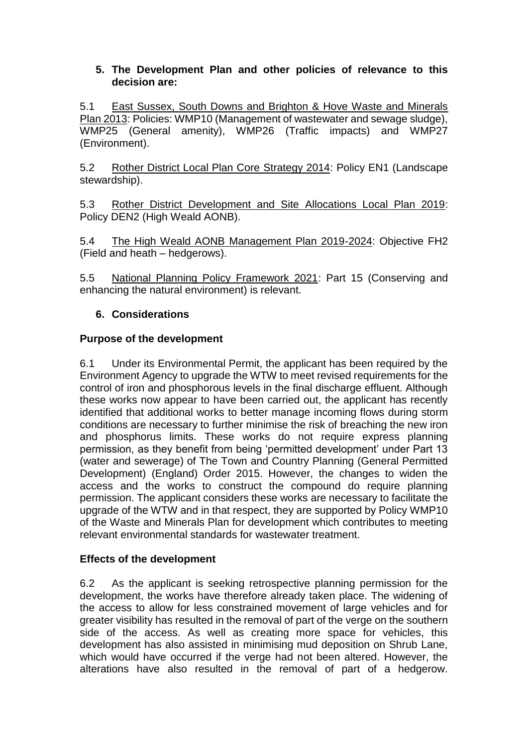#### **5. The Development Plan and other policies of relevance to this decision are:**

5.1 East Sussex, South Downs and Brighton & Hove Waste and Minerals Plan 2013: Policies: WMP10 (Management of wastewater and sewage sludge), WMP25 (General amenity), WMP26 (Traffic impacts) and WMP27 (Environment).

5.2 Rother District Local Plan Core Strategy 2014: Policy EN1 (Landscape stewardship).

5.3 Rother District Development and Site Allocations Local Plan 2019: Policy DEN2 (High Weald AONB).

5.4 The High Weald AONB Management Plan 2019-2024: Objective FH2 (Field and heath – hedgerows).

5.5 National Planning Policy Framework 2021: Part 15 (Conserving and enhancing the natural environment) is relevant.

# **6. Considerations**

### **Purpose of the development**

6.1 Under its Environmental Permit, the applicant has been required by the Environment Agency to upgrade the WTW to meet revised requirements for the control of iron and phosphorous levels in the final discharge effluent. Although these works now appear to have been carried out, the applicant has recently identified that additional works to better manage incoming flows during storm conditions are necessary to further minimise the risk of breaching the new iron and phosphorus limits. These works do not require express planning permission, as they benefit from being 'permitted development' under Part 13 (water and sewerage) of The Town and Country Planning (General Permitted Development) (England) Order 2015. However, the changes to widen the access and the works to construct the compound do require planning permission. The applicant considers these works are necessary to facilitate the upgrade of the WTW and in that respect, they are supported by Policy WMP10 of the Waste and Minerals Plan for development which contributes to meeting relevant environmental standards for wastewater treatment.

#### **Effects of the development**

6.2 As the applicant is seeking retrospective planning permission for the development, the works have therefore already taken place. The widening of the access to allow for less constrained movement of large vehicles and for greater visibility has resulted in the removal of part of the verge on the southern side of the access. As well as creating more space for vehicles, this development has also assisted in minimising mud deposition on Shrub Lane, which would have occurred if the verge had not been altered. However, the alterations have also resulted in the removal of part of a hedgerow.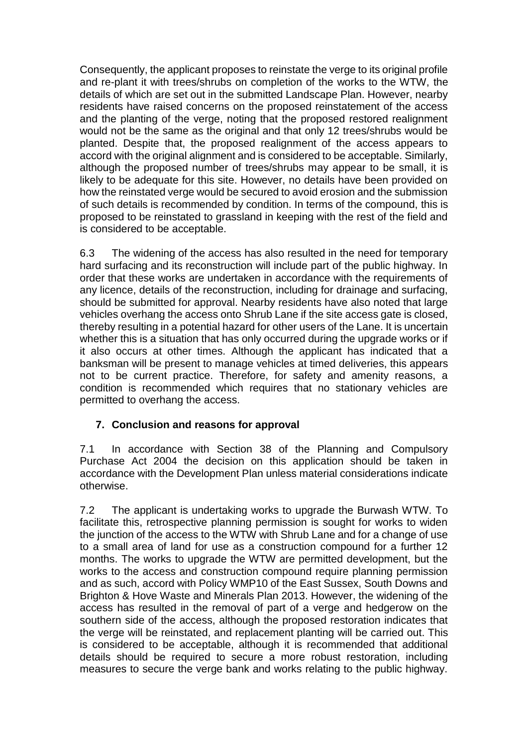Consequently, the applicant proposes to reinstate the verge to its original profile and re-plant it with trees/shrubs on completion of the works to the WTW, the details of which are set out in the submitted Landscape Plan. However, nearby residents have raised concerns on the proposed reinstatement of the access and the planting of the verge, noting that the proposed restored realignment would not be the same as the original and that only 12 trees/shrubs would be planted. Despite that, the proposed realignment of the access appears to accord with the original alignment and is considered to be acceptable. Similarly, although the proposed number of trees/shrubs may appear to be small, it is likely to be adequate for this site. However, no details have been provided on how the reinstated verge would be secured to avoid erosion and the submission of such details is recommended by condition. In terms of the compound, this is proposed to be reinstated to grassland in keeping with the rest of the field and is considered to be acceptable.

6.3 The widening of the access has also resulted in the need for temporary hard surfacing and its reconstruction will include part of the public highway. In order that these works are undertaken in accordance with the requirements of any licence, details of the reconstruction, including for drainage and surfacing, should be submitted for approval. Nearby residents have also noted that large vehicles overhang the access onto Shrub Lane if the site access gate is closed, thereby resulting in a potential hazard for other users of the Lane. It is uncertain whether this is a situation that has only occurred during the upgrade works or if it also occurs at other times. Although the applicant has indicated that a banksman will be present to manage vehicles at timed deliveries, this appears not to be current practice. Therefore, for safety and amenity reasons, a condition is recommended which requires that no stationary vehicles are permitted to overhang the access.

# **7. Conclusion and reasons for approval**

7.1 In accordance with Section 38 of the Planning and Compulsory Purchase Act 2004 the decision on this application should be taken in accordance with the Development Plan unless material considerations indicate otherwise.

7.2 The applicant is undertaking works to upgrade the Burwash WTW. To facilitate this, retrospective planning permission is sought for works to widen the junction of the access to the WTW with Shrub Lane and for a change of use to a small area of land for use as a construction compound for a further 12 months. The works to upgrade the WTW are permitted development, but the works to the access and construction compound require planning permission and as such, accord with Policy WMP10 of the East Sussex, South Downs and Brighton & Hove Waste and Minerals Plan 2013. However, the widening of the access has resulted in the removal of part of a verge and hedgerow on the southern side of the access, although the proposed restoration indicates that the verge will be reinstated, and replacement planting will be carried out. This is considered to be acceptable, although it is recommended that additional details should be required to secure a more robust restoration, including measures to secure the verge bank and works relating to the public highway.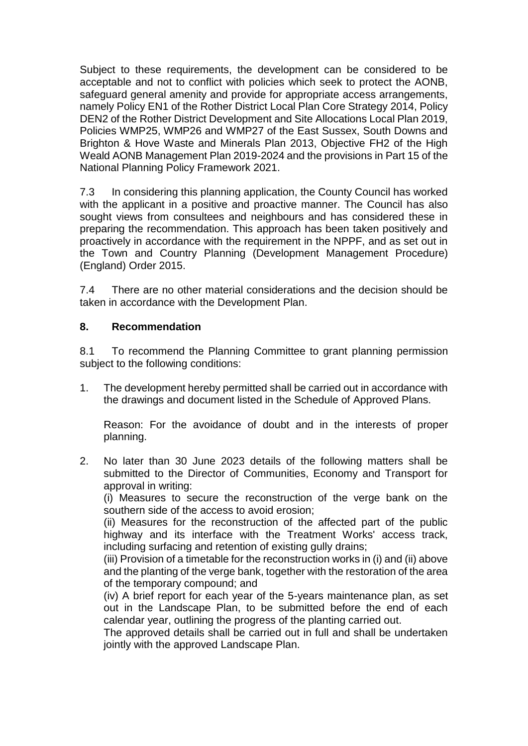Subject to these requirements, the development can be considered to be acceptable and not to conflict with policies which seek to protect the AONB, safeguard general amenity and provide for appropriate access arrangements, namely Policy EN1 of the Rother District Local Plan Core Strategy 2014, Policy DEN2 of the Rother District Development and Site Allocations Local Plan 2019, Policies WMP25, WMP26 and WMP27 of the East Sussex, South Downs and Brighton & Hove Waste and Minerals Plan 2013, Objective FH2 of the High Weald AONB Management Plan 2019-2024 and the provisions in Part 15 of the National Planning Policy Framework 2021.

7.3 In considering this planning application, the County Council has worked with the applicant in a positive and proactive manner. The Council has also sought views from consultees and neighbours and has considered these in preparing the recommendation. This approach has been taken positively and proactively in accordance with the requirement in the NPPF, and as set out in the Town and Country Planning (Development Management Procedure) (England) Order 2015.

7.4 There are no other material considerations and the decision should be taken in accordance with the Development Plan.

### **8. Recommendation**

8.1 To recommend the Planning Committee to grant planning permission subject to the following conditions:

1. The development hereby permitted shall be carried out in accordance with the drawings and document listed in the Schedule of Approved Plans.

Reason: For the avoidance of doubt and in the interests of proper planning.

2. No later than 30 June 2023 details of the following matters shall be submitted to the Director of Communities, Economy and Transport for approval in writing:

(i) Measures to secure the reconstruction of the verge bank on the southern side of the access to avoid erosion;

(ii) Measures for the reconstruction of the affected part of the public highway and its interface with the Treatment Works' access track, including surfacing and retention of existing gully drains;

(iii) Provision of a timetable for the reconstruction works in (i) and (ii) above and the planting of the verge bank, together with the restoration of the area of the temporary compound; and

(iv) A brief report for each year of the 5-years maintenance plan, as set out in the Landscape Plan, to be submitted before the end of each calendar year, outlining the progress of the planting carried out.

The approved details shall be carried out in full and shall be undertaken jointly with the approved Landscape Plan.